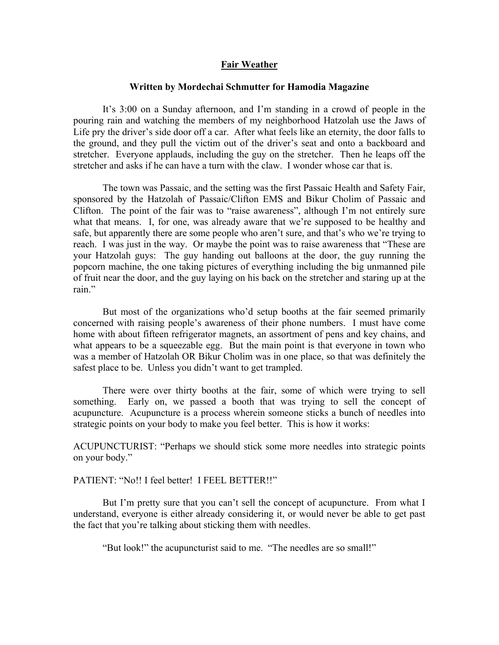## **Fair Weather**

## **Written by Mordechai Schmutter for Hamodia Magazine**

 It's 3:00 on a Sunday afternoon, and I'm standing in a crowd of people in the pouring rain and watching the members of my neighborhood Hatzolah use the Jaws of Life pry the driver's side door off a car. After what feels like an eternity, the door falls to the ground, and they pull the victim out of the driver's seat and onto a backboard and stretcher. Everyone applauds, including the guy on the stretcher. Then he leaps off the stretcher and asks if he can have a turn with the claw. I wonder whose car that is.

 The town was Passaic, and the setting was the first Passaic Health and Safety Fair, sponsored by the Hatzolah of Passaic/Clifton EMS and Bikur Cholim of Passaic and Clifton. The point of the fair was to "raise awareness", although I'm not entirely sure what that means. I, for one, was already aware that we're supposed to be healthy and safe, but apparently there are some people who aren't sure, and that's who we're trying to reach. I was just in the way. Or maybe the point was to raise awareness that "These are your Hatzolah guys: The guy handing out balloons at the door, the guy running the popcorn machine, the one taking pictures of everything including the big unmanned pile of fruit near the door, and the guy laying on his back on the stretcher and staring up at the rain."

But most of the organizations who'd setup booths at the fair seemed primarily concerned with raising people's awareness of their phone numbers. I must have come home with about fifteen refrigerator magnets, an assortment of pens and key chains, and what appears to be a squeezable egg. But the main point is that everyone in town who was a member of Hatzolah OR Bikur Cholim was in one place, so that was definitely the safest place to be. Unless you didn't want to get trampled.

 There were over thirty booths at the fair, some of which were trying to sell something. Early on, we passed a booth that was trying to sell the concept of acupuncture. Acupuncture is a process wherein someone sticks a bunch of needles into strategic points on your body to make you feel better. This is how it works:

ACUPUNCTURIST: "Perhaps we should stick some more needles into strategic points on your body."

PATIENT: "No!! I feel better! I FEEL BETTER!!"

But I'm pretty sure that you can't sell the concept of acupuncture. From what I understand, everyone is either already considering it, or would never be able to get past the fact that you're talking about sticking them with needles.

"But look!" the acupuncturist said to me. "The needles are so small!"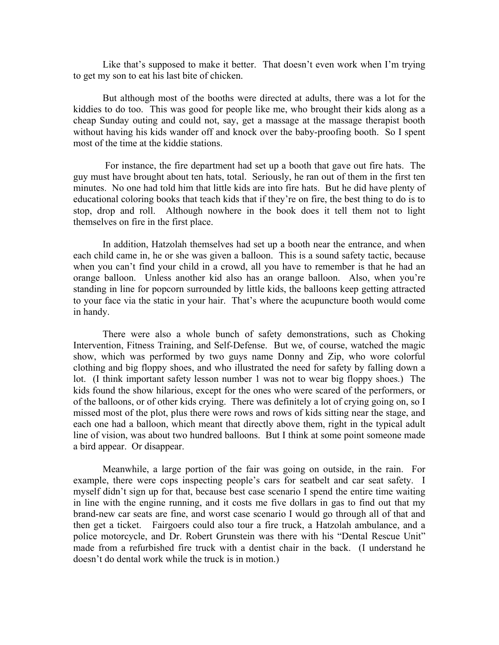Like that's supposed to make it better. That doesn't even work when I'm trying to get my son to eat his last bite of chicken.

 But although most of the booths were directed at adults, there was a lot for the kiddies to do too. This was good for people like me, who brought their kids along as a cheap Sunday outing and could not, say, get a massage at the massage therapist booth without having his kids wander off and knock over the baby-proofing booth. So I spent most of the time at the kiddie stations.

 For instance, the fire department had set up a booth that gave out fire hats. The guy must have brought about ten hats, total. Seriously, he ran out of them in the first ten minutes. No one had told him that little kids are into fire hats. But he did have plenty of educational coloring books that teach kids that if they're on fire, the best thing to do is to stop, drop and roll. Although nowhere in the book does it tell them not to light themselves on fire in the first place.

 In addition, Hatzolah themselves had set up a booth near the entrance, and when each child came in, he or she was given a balloon. This is a sound safety tactic, because when you can't find your child in a crowd, all you have to remember is that he had an orange balloon. Unless another kid also has an orange balloon. Also, when you're standing in line for popcorn surrounded by little kids, the balloons keep getting attracted to your face via the static in your hair. That's where the acupuncture booth would come in handy.

 There were also a whole bunch of safety demonstrations, such as Choking Intervention, Fitness Training, and Self-Defense. But we, of course, watched the magic show, which was performed by two guys name Donny and Zip, who wore colorful clothing and big floppy shoes, and who illustrated the need for safety by falling down a lot. (I think important safety lesson number 1 was not to wear big floppy shoes.) The kids found the show hilarious, except for the ones who were scared of the performers, or of the balloons, or of other kids crying. There was definitely a lot of crying going on, so I missed most of the plot, plus there were rows and rows of kids sitting near the stage, and each one had a balloon, which meant that directly above them, right in the typical adult line of vision, was about two hundred balloons. But I think at some point someone made a bird appear. Or disappear.

 Meanwhile, a large portion of the fair was going on outside, in the rain. For example, there were cops inspecting people's cars for seatbelt and car seat safety. I myself didn't sign up for that, because best case scenario I spend the entire time waiting in line with the engine running, and it costs me five dollars in gas to find out that my brand-new car seats are fine, and worst case scenario I would go through all of that and then get a ticket. Fairgoers could also tour a fire truck, a Hatzolah ambulance, and a police motorcycle, and Dr. Robert Grunstein was there with his "Dental Rescue Unit" made from a refurbished fire truck with a dentist chair in the back. (I understand he doesn't do dental work while the truck is in motion.)